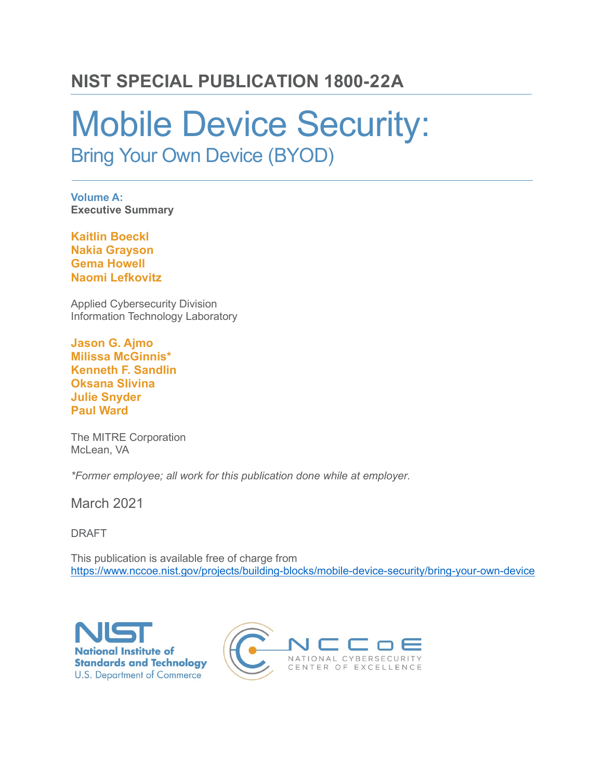## **NIST SPECIAL PUBLICATION 1800-22A**

# Mobile Device Security:

Bring Your Own Device (BYOD)

**Volume A: Executive Summary**

**Kaitlin Boeckl Nakia Grayson Gema Howell Naomi Lefkovitz**

Applied Cybersecurity Division Information Technology Laboratory

**Jason G. Ajmo Milissa McGinnis\* Kenneth F. Sandlin Oksana Slivina Julie Snyder Paul Ward**

The MITRE Corporation McLean, VA

*\*Former employee; all work for this publication done while at employer.*

March 2021

DRAFT

This publication is available free of charge from <https://www.nccoe.nist.gov/projects/building-blocks/mobile-device-security/bring-your-own-device>



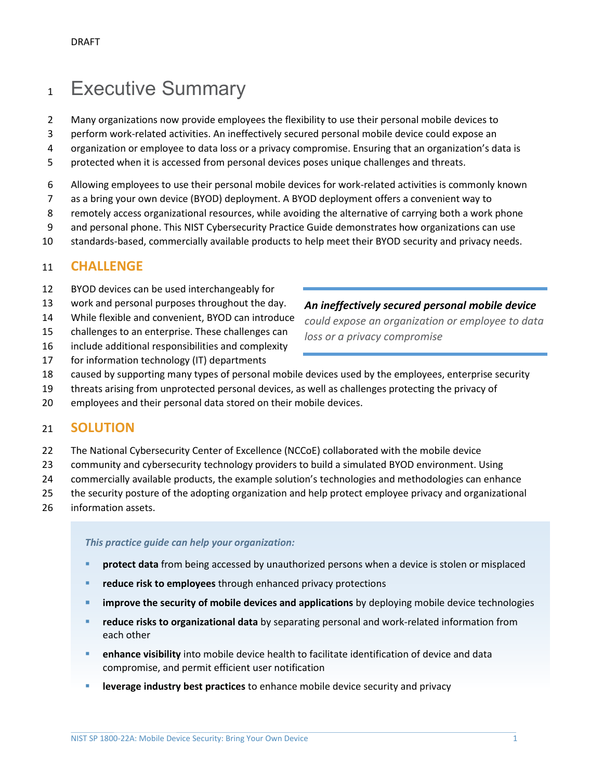## Executive Summary

Many organizations now provide employees the flexibility to use their personal mobile devices to

perform work-related activities. An ineffectively secured personal mobile device could expose an

organization or employee to data loss or a privacy compromise. Ensuring that an organization's data is

protected when it is accessed from personal devices poses unique challenges and threats.

Allowing employees to use their personal mobile devices for work-related activities is commonly known

- as a bring your own device (BYOD) deployment. A BYOD deployment offers a convenient way to
- remotely access organizational resources, while avoiding the alternative of carrying both a work phone
- 9 and personal phone. This NIST Cybersecurity Practice Guide demonstrates how organizations can use
- standards-based, commercially available products to help meet their BYOD security and privacy needs.

#### **CHALLENGE**

- BYOD devices can be used interchangeably for
- work and personal purposes throughout the day.
- While flexible and convenient, BYOD can introduce
- challenges to an enterprise. These challenges can
- include additional responsibilities and complexity
- for information technology (IT) departments

*An ineffectively secured personal mobile device* 

*could expose an organization or employee to data loss or a privacy compromise*

- caused by supporting many types of personal mobile devices used by the employees, enterprise security
- threats arising from unprotected personal devices, as well as challenges protecting the privacy of
- employees and their personal data stored on their mobile devices.

#### **SOLUTION**

- The National Cybersecurity Center of Excellence (NCCoE) collaborated with the mobile device
- community and cybersecurity technology providers to build a simulated BYOD environment. Using
- commercially available products, the example solution's technologies and methodologies can enhance
- the security posture of the adopting organization and help protect employee privacy and organizational
- information assets.

*This practice guide can help your organization:*

- **Protect data** from being accessed by unauthorized persons when a device is stolen or misplaced
- **reduce risk to employees** through enhanced privacy protections
- **improve the security of mobile devices and applications** by deploying mobile device technologies
- **reduce risks to organizational data** by separating personal and work-related information from each other
- **enhance visibility** into mobile device health to facilitate identification of device and data compromise, and permit efficient user notification
- **EXECTE:** leverage industry best practices to enhance mobile device security and privacy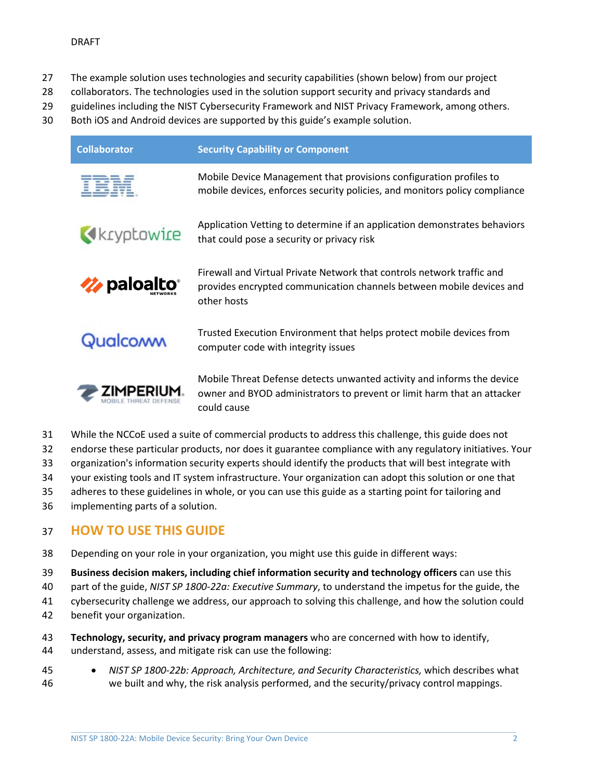- 27 The example solution uses technologies and security capabilities (shown below) from our project
- 28 collaborators. The technologies used in the solution support security and privacy standards and
- 29 guidelines including the NIST Cybersecurity Framework and NIST Privacy Framework, among others.
- 30 Both iOS and Android devices are supported by this guide's example solution.

| <b>Collaborator</b>             | <b>Security Capability or Component</b>                                                                                                                          |
|---------------------------------|------------------------------------------------------------------------------------------------------------------------------------------------------------------|
|                                 | Mobile Device Management that provisions configuration profiles to<br>mobile devices, enforces security policies, and monitors policy compliance                 |
| Kryptowire                      | Application Vetting to determine if an application demonstrates behaviors<br>that could pose a security or privacy risk                                          |
| $\rightarrow$ paloalto $^\circ$ | Firewall and Virtual Private Network that controls network traffic and<br>provides encrypted communication channels between mobile devices and<br>other hosts    |
| Qualcoww                        | Trusted Execution Environment that helps protect mobile devices from<br>computer code with integrity issues                                                      |
|                                 | Mobile Threat Defense detects unwanted activity and informs the device<br>owner and BYOD administrators to prevent or limit harm that an attacker<br>could cause |

- 31 While the NCCoE used a suite of commercial products to address this challenge, this guide does not
- 32 endorse these particular products, nor does it guarantee compliance with any regulatory initiatives. Your
- 33 organization's information security experts should identify the products that will best integrate with
- 34 your existing tools and IT system infrastructure. Your organization can adopt this solution or one that
- 35 adheres to these guidelines in whole, or you can use this guide as a starting point for tailoring and
- 36 implementing parts of a solution.

### 37 **HOW TO USE THIS GUIDE**

- 38 Depending on your role in your organization, you might use this guide in different ways:
- 39 **Business decision makers, including chief information security and technology officers** can use this
- 40 part of the guide, *NIST SP 1800-22a: Executive Summary*, to understand the impetus for the guide, the
- 41 cybersecurity challenge we address, our approach to solving this challenge, and how the solution could
- 42 benefit your organization.
- 43 **Technology, security, and privacy program managers** who are concerned with how to identify,
- 44 understand, assess, and mitigate risk can use the following:
- 45 *NIST SP 1800-22b: Approach, Architecture, and Security Characteristics,* which describes what 46 we built and why, the risk analysis performed, and the security/privacy control mappings.